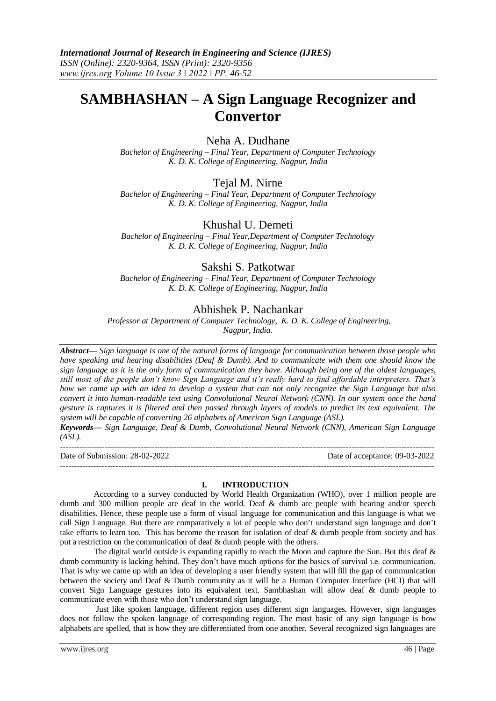# **SAMBHASHAN – A Sign Language Recognizer and Convertor**

# Neha A. Dudhane

*Bachelor of Engineering – Final Year, Department of Computer Technology K. D. K. College of Engineering, Nagpur, India*

# Tejal M. Nirne

*Bachelor of Engineering – Final Year, Department of Computer Technology K. D. K. College of Engineering, Nagpur, India*

# Khushal U. Demeti

*Bachelor of Engineering – Final Year,Department of Computer Technology K. D. K. College of Engineering, Nagpur, India*

# Sakshi S. Patkotwar

*Bachelor of Engineering – Final Year, Department of Computer Technology K. D. K. College of Engineering, Nagpur, India*

# Abhishek P. Nachankar

*Professor at Department of Computer Technology, K. D. K. College of Engineering, Nagpur, India.* 

*Abstract— Sign language is one of the natural forms of language for communication between those people who have speaking and hearing disabilities (Deaf & Dumb). And to communicate with them one should know the sign language as it is the only form of communication they have. Although being one of the oldest languages, still most of the people don't know Sign Language and it's really hard to find affordable interpreters. That's how we came up with an idea to develop a system that can not only recognize the Sign Language but also convert it into human-readable text using Convolutional Neural Network (CNN). In our system once the hand gesture is captures it is filtered and then passed through layers of models to predict its text equivalent. The system will be capable of converting 26 alphabets of American Sign Language (ASL).*

*Keywords— Sign Language, Deaf & Dumb, Convolutional Neural Network (CNN), American Sign Language (ASL).*

| Date of Submission: 28-02-2022 | Date of acceptance: 09-03-2022 |
|--------------------------------|--------------------------------|
|                                |                                |

#### **I. INTRODUCTION**

According to a survey conducted by World Health Organization (WHO), over 1 million people are dumb and 300 million people are deaf in the world. Deaf & dumb are people with hearing and/or speech disabilities. Hence, these people use a form of visual language for communication and this language is what we call Sign Language. But there are comparatively a lot of people who don't understand sign language and don't take efforts to learn too. This has become the reason for isolation of deaf & dumb people from society and has put a restriction on the communication of deaf & dumb people with the others.

The digital world outside is expanding rapidly to reach the Moon and capture the Sun. But this deaf & dumb community is lacking behind. They don't have much options for the basics of survival i.e. communication. That is why we came up with an idea of developing a user friendly system that will fill the gap of communication between the society and Deaf & Dumb community as it will be a Human Computer Interface (HCI) that will convert Sign Language gestures into its equivalent text. Sambhashan will allow deaf & dumb people to communicate even with those who don't understand sign language.

Just like spoken language, different region uses different sign languages. However, sign languages does not follow the spoken language of corresponding region. The most basic of any sign language is how alphabets are spelled, that is how they are differentiated from one another. Several recognized sign languages are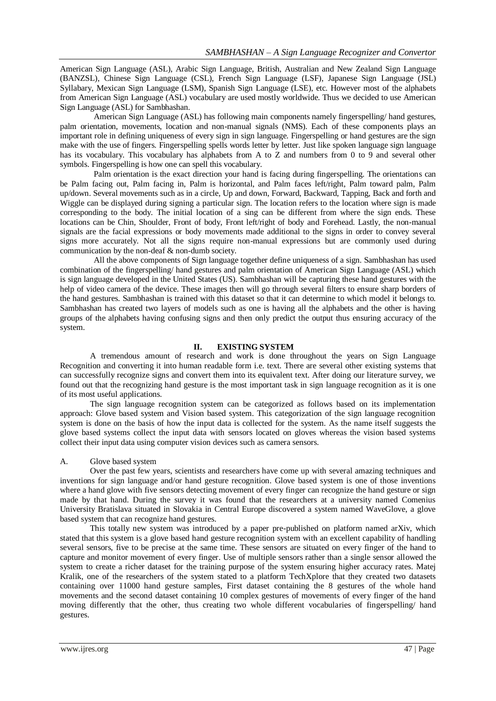American Sign Language (ASL), Arabic Sign Language, British, Australian and New Zealand Sign Language (BANZSL), Chinese Sign Language (CSL), French Sign Language (LSF), Japanese Sign Language (JSL) Syllabary, Mexican Sign Language (LSM), Spanish Sign Language (LSE), etc. However most of the alphabets from American Sign Language (ASL) vocabulary are used mostly worldwide. Thus we decided to use American Sign Language (ASL) for Sambhashan.

American Sign Language (ASL) has following main components namely fingerspelling/ hand gestures, palm orientation, movements, location and non-manual signals (NMS). Each of these components plays an important role in defining uniqueness of every sign in sign language. Fingerspelling or hand gestures are the sign make with the use of fingers. Fingerspelling spells words letter by letter. Just like spoken language sign language has its vocabulary. This vocabulary has alphabets from A to Z and numbers from 0 to 9 and several other symbols. Fingerspelling is how one can spell this vocabulary.

Palm orientation is the exact direction your hand is facing during fingerspelling. The orientations can be Palm facing out, Palm facing in, Palm is horizontal, and Palm faces left/right, Palm toward palm, Palm up/down. Several movements such as in a circle, Up and down, Forward, Backward, Tapping, Back and forth and Wiggle can be displayed during signing a particular sign. The location refers to the location where sign is made corresponding to the body. The initial location of a sing can be different from where the sign ends. These locations can be Chin, Shoulder, Front of body, Front left/right of body and Forehead. Lastly, the non-manual signals are the facial expressions or body movements made additional to the signs in order to convey several signs more accurately. Not all the signs require non-manual expressions but are commonly used during communication by the non-deaf & non-dumb society.

All the above components of Sign language together define uniqueness of a sign. Sambhashan has used combination of the fingerspelling/ hand gestures and palm orientation of American Sign Language (ASL) which is sign language developed in the United States (US). Sambhashan will be capturing these hand gestures with the help of video camera of the device. These images then will go through several filters to ensure sharp borders of the hand gestures. Sambhashan is trained with this dataset so that it can determine to which model it belongs to. Sambhashan has created two layers of models such as one is having all the alphabets and the other is having groups of the alphabets having confusing signs and then only predict the output thus ensuring accuracy of the system.

## **II. EXISTING SYSTEM**

A tremendous amount of research and work is done throughout the years on Sign Language Recognition and converting it into human readable form i.e. text. There are several other existing systems that can successfully recognize signs and convert them into its equivalent text. After doing our literature survey, we found out that the recognizing hand gesture is the most important task in sign language recognition as it is one of its most useful applications.

The sign language recognition system can be categorized as follows based on its implementation approach: Glove based system and Vision based system. This categorization of the sign language recognition system is done on the basis of how the input data is collected for the system. As the name itself suggests the glove based systems collect the input data with sensors located on gloves whereas the vision based systems collect their input data using computer vision devices such as camera sensors.

#### A. Glove based system

Over the past few years, scientists and researchers have come up with several amazing techniques and inventions for sign language and/or hand gesture recognition. Glove based system is one of those inventions where a hand glove with five sensors detecting movement of every finger can recognize the hand gesture or sign made by that hand. During the survey it was found that the researchers at a university named Comenius University Bratislava situated in Slovakia in Central Europe discovered a system named WaveGlove, a glove based system that can recognize hand gestures.

This totally new system was introduced by a paper pre-published on platform named arXiv, which stated that this system is a glove based hand gesture recognition system with an excellent capability of handling several sensors, five to be precise at the same time. These sensors are situated on every finger of the hand to capture and monitor movement of every finger. Use of multiple sensors rather than a single sensor allowed the system to create a richer dataset for the training purpose of the system ensuring higher accuracy rates. Matej Kralik, one of the researchers of the system stated to a platform TechXplore that they created two datasets containing over 11000 hand gesture samples, First dataset containing the 8 gestures of the whole hand movements and the second dataset containing 10 complex gestures of movements of every finger of the hand moving differently that the other, thus creating two whole different vocabularies of fingerspelling/ hand gestures.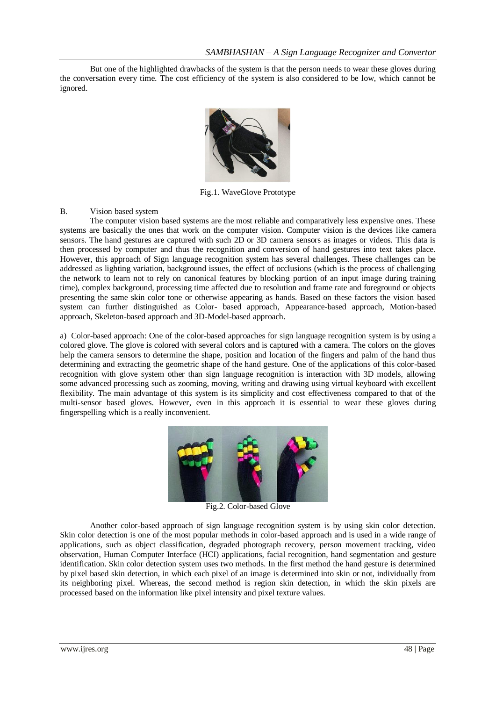But one of the highlighted drawbacks of the system is that the person needs to wear these gloves during the conversation every time. The cost efficiency of the system is also considered to be low, which cannot be ignored.



Fig.1. WaveGlove Prototype

## B. Vision based system

The computer vision based systems are the most reliable and comparatively less expensive ones. These systems are basically the ones that work on the computer vision. Computer vision is the devices like camera sensors. The hand gestures are captured with such 2D or 3D camera sensors as images or videos. This data is then processed by computer and thus the recognition and conversion of hand gestures into text takes place. However, this approach of Sign language recognition system has several challenges. These challenges can be addressed as lighting variation, background issues, the effect of occlusions (which is the process of challenging the network to learn not to rely on canonical features by blocking portion of an input image during training time), complex background, processing time affected due to resolution and frame rate and foreground or objects presenting the same skin color tone or otherwise appearing as hands. Based on these factors the vision based system can further distinguished as Color- based approach, Appearance-based approach, Motion-based approach, Skeleton-based approach and 3D-Model-based approach.

a) Color-based approach: One of the color-based approaches for sign language recognition system is by using a colored glove. The glove is colored with several colors and is captured with a camera. The colors on the gloves help the camera sensors to determine the shape, position and location of the fingers and palm of the hand thus determining and extracting the geometric shape of the hand gesture. One of the applications of this color-based recognition with glove system other than sign language recognition is interaction with 3D models, allowing some advanced processing such as zooming, moving, writing and drawing using virtual keyboard with excellent flexibility. The main advantage of this system is its simplicity and cost effectiveness compared to that of the multi-sensor based gloves. However, even in this approach it is essential to wear these gloves during fingerspelling which is a really inconvenient.



Fig.2. Color-based Glove

Another color-based approach of sign language recognition system is by using skin color detection. Skin color detection is one of the most popular methods in color-based approach and is used in a wide range of applications, such as object classification, degraded photograph recovery, person movement tracking, video observation, Human Computer Interface (HCI) applications, facial recognition, hand segmentation and gesture identification. Skin color detection system uses two methods. In the first method the hand gesture is determined by pixel based skin detection, in which each pixel of an image is determined into skin or not, individually from its neighboring pixel. Whereas, the second method is region skin detection, in which the skin pixels are processed based on the information like pixel intensity and pixel texture values.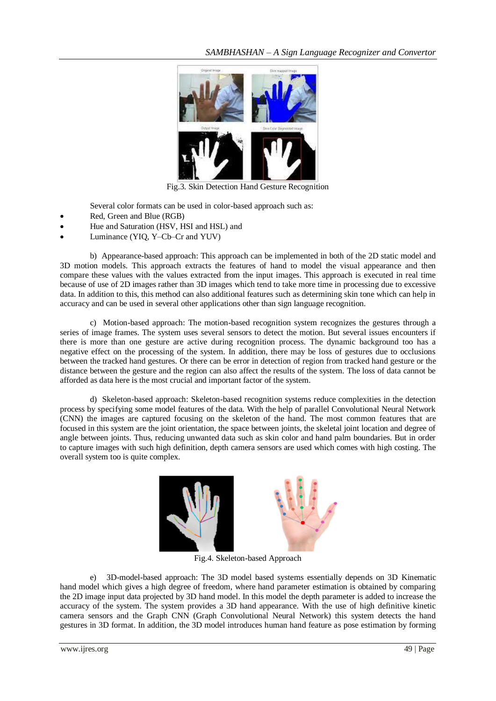

Fig.3. Skin Detection Hand Gesture Recognition

Several color formats can be used in color-based approach such as:

- Red, Green and Blue (RGB)
- Hue and Saturation (HSV, HSI and HSL) and
- Luminance (YIQ, Y–Cb–Cr and YUV)

b) Appearance-based approach: This approach can be implemented in both of the 2D static model and 3D motion models. This approach extracts the features of hand to model the visual appearance and then compare these values with the values extracted from the input images. This approach is executed in real time because of use of 2D images rather than 3D images which tend to take more time in processing due to excessive data. In addition to this, this method can also additional features such as determining skin tone which can help in accuracy and can be used in several other applications other than sign language recognition.

c) Motion-based approach: The motion-based recognition system recognizes the gestures through a series of image frames. The system uses several sensors to detect the motion. But several issues encounters if there is more than one gesture are active during recognition process. The dynamic background too has a negative effect on the processing of the system. In addition, there may be loss of gestures due to occlusions between the tracked hand gestures. Or there can be error in detection of region from tracked hand gesture or the distance between the gesture and the region can also affect the results of the system. The loss of data cannot be afforded as data here is the most crucial and important factor of the system.

d) Skeleton-based approach: Skeleton-based recognition systems reduce complexities in the detection process by specifying some model features of the data. With the help of parallel Convolutional Neural Network (CNN) the images are captured focusing on the skeleton of the hand. The most common features that are focused in this system are the joint orientation, the space between joints, the skeletal joint location and degree of angle between joints. Thus, reducing unwanted data such as skin color and hand palm boundaries. But in order to capture images with such high definition, depth camera sensors are used which comes with high costing. The overall system too is quite complex.



Fig.4. Skeleton-based Approach

e) 3D-model-based approach: The 3D model based systems essentially depends on 3D Kinematic hand model which gives a high degree of freedom, where hand parameter estimation is obtained by comparing the 2D image input data projected by 3D hand model. In this model the depth parameter is added to increase the accuracy of the system. The system provides a 3D hand appearance. With the use of high definitive kinetic camera sensors and the Graph CNN (Graph Convolutional Neural Network) this system detects the hand gestures in 3D format. In addition, the 3D model introduces human hand feature as pose estimation by forming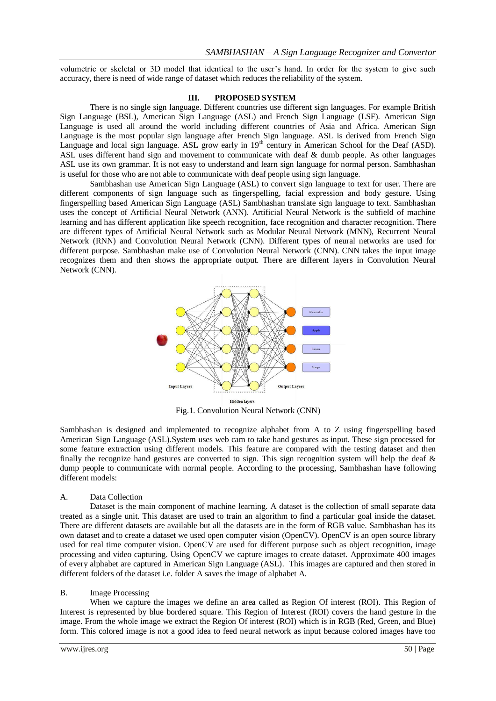volumetric or skeletal or 3D model that identical to the user's hand. In order for the system to give such accuracy, there is need of wide range of dataset which reduces the reliability of the system.

#### **III. PROPOSED SYSTEM**

There is no single sign language. Different countries use different sign languages. For example British Sign Language (BSL), American Sign Language (ASL) and French Sign Language (LSF). American Sign Language is used all around the world including different countries of Asia and Africa. American Sign Language is the most popular sign language after French Sign language. ASL is derived from French Sign Language and local sign language. ASL grow early in  $19<sup>th</sup>$  century in American School for the Deaf (ASD). ASL uses different hand sign and movement to communicate with deaf & dumb people. As other languages ASL use its own grammar. It is not easy to understand and learn sign language for normal person. Sambhashan is useful for those who are not able to communicate with deaf people using sign language.

Sambhashan use American Sign Language (ASL) to convert sign language to text for user. There are different components of sign language such as fingerspelling, facial expression and body gesture. Using fingerspelling based American Sign Language (ASL) Sambhashan translate sign language to text. Sambhashan uses the concept of Artificial Neural Network (ANN). Artificial Neural Network is the subfield of machine learning and has different application like speech recognition, face recognition and character recognition. There are different types of Artificial Neural Network such as Modular Neural Network (MNN), Recurrent Neural Network (RNN) and Convolution Neural Network (CNN). Different types of neural networks are used for different purpose. Sambhashan make use of Convolution Neural Network (CNN). CNN takes the input image recognizes them and then shows the appropriate output. There are different layers in Convolution Neural Network (CNN).



Fig.1. Convolution Neural Network (CNN)

Sambhashan is designed and implemented to recognize alphabet from A to Z using fingerspelling based American Sign Language (ASL).System uses web cam to take hand gestures as input. These sign processed for some feature extraction using different models. This feature are compared with the testing dataset and then finally the recognize hand gestures are converted to sign. This sign recognition system will help the deaf  $\&$ dump people to communicate with normal people. According to the processing, Sambhashan have following different models:

#### A. Data Collection

Dataset is the main component of machine learning. A dataset is the collection of small separate data treated as a single unit. This dataset are used to train an algorithm to find a particular goal inside the dataset. There are different datasets are available but all the datasets are in the form of RGB value. Sambhashan has its own dataset and to create a dataset we used open computer vision (OpenCV). OpenCV is an open source library used for real time computer vision. OpenCV are used for different purpose such as object recognition, image processing and video capturing. Using OpenCV we capture images to create dataset. Approximate 400 images of every alphabet are captured in American Sign Language (ASL). This images are captured and then stored in different folders of the dataset i.e. folder A saves the image of alphabet A.

#### B. Image Processing

When we capture the images we define an area called as Region Of interest (ROI). This Region of Interest is represented by blue bordered square. This Region of Interest (ROI) covers the hand gesture in the image. From the whole image we extract the Region Of interest (ROI) which is in RGB (Red, Green, and Blue) form. This colored image is not a good idea to feed neural network as input because colored images have too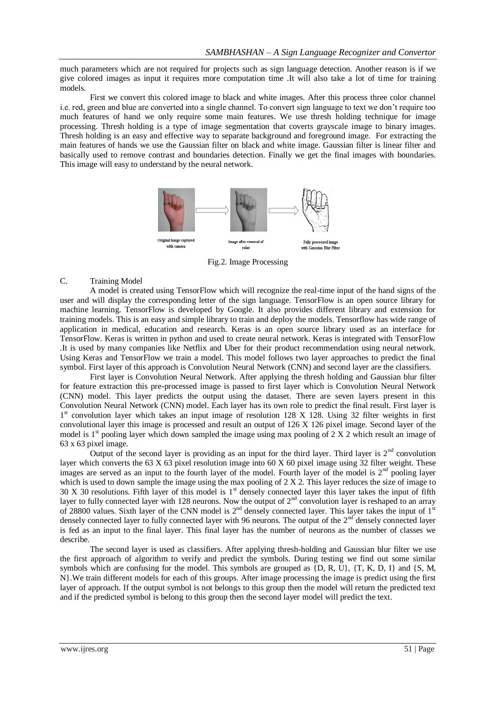much parameters which are not required for projects such as sign language detection. Another reason is if we give colored images as input it requires more computation time .It will also take a lot of time for training models.

First we convert this colored image to black and white images. After this process three color channel i.e. red, green and blue are converted into a single channel. To convert sign language to text we don't require too much features of hand we only require some main features. We use thresh holding technique for image processing. Thresh holding is a type of image segmentation that coverts grayscale image to binary images. Thresh holding is an easy and effective way to separate background and foreground image. For extracting the main features of hands we use the Gaussian filter on black and white image. Gaussian filter is linear filter and basically used to remove contrast and boundaries detection. Finally we get the final images with boundaries. This image will easy to understand by the neural network.



Fig.2. Image Processing

### C. Training Model

A model is created using TensorFlow which will recognize the real-time input of the hand signs of the user and will display the corresponding letter of the sign language. TensorFlow is an open source library for machine learning. TensorFlow is developed by Google. It also provides different library and extension for training models. This is an easy and simple library to train and deploy the models. Tensorflow has wide range of application in medical, education and research. Keras is an open source library used as an interface for TensorFlow. Keras is written in python and used to create neural network. Keras is integrated with TensorFlow .It is used by many companies like Netflix and Uber for their product recommendation using neural network. Using Keras and TensorFlow we train a model. This model follows two layer approaches to predict the final symbol. First layer of this approach is Convolution Neural Network (CNN) and second layer are the classifiers.

First layer is Convolution Neural Network. After applying the thresh holding and Gaussian blur filter for feature extraction this pre-processed image is passed to first layer which is Convolution Neural Network (CNN) model. This layer predicts the output using the dataset. There are seven layers present in this Convolution Neural Network (CNN) model. Each layer has its own role to predict the final result. First layer is 1<sup>st</sup> convolution layer which takes an input image of resolution 128 X 128. Using 32 filter weights in first convolutional layer this image is processed and result an output of 126 X 126 pixel image. Second layer of the model is  $1<sup>st</sup>$  pooling layer which down sampled the image using max pooling of 2 X 2 which result an image of 63 x 63 pixel image.

Output of the second layer is providing as an input for the third layer. Third layer is  $2<sup>nd</sup>$  convolution layer which converts the 63 X 63 pixel resolution image into 60 X 60 pixel image using 32 filter weight. These images are served as an input to the fourth layer of the model. Fourth layer of the model is  $2<sup>nd</sup>$  pooling layer which is used to down sample the image using the max pooling of 2 X 2. This layer reduces the size of image to  $30 \text{ X } 30$  resolutions. Fifth layer of this model is 1<sup>st</sup> densely connected layer this layer takes the input of fifth layer to fully connected layer with 128 neurons. Now the output of  $2<sup>nd</sup>$  convolution layer is reshaped to an array of 28800 values. Sixth layer of the CNN model is  $2<sup>nd</sup>$  densely connected layer. This layer takes the input of  $1<sup>st</sup>$ densely connected layer to fully connected layer with 96 neurons. The output of the  $2<sup>nd</sup>$  densely connected layer is fed as an input to the final layer. This final layer has the number of neurons as the number of classes we describe.

The second layer is used as classifiers. After applying thresh-holding and Gaussian blur filter we use the first approach of algorithm to verify and predict the symbols. During testing we find out some similar symbols which are confusing for the model. This symbols are grouped as  $\{D, R, U\}$ ,  $\{T, K, D, I\}$  and  $\{S, M, I\}$ N}.We train different models for each of this groups. After image processing the image is predict using the first layer of approach. If the output symbol is not belongs to this group then the model will return the predicted text and if the predicted symbol is belong to this group then the second layer model will predict the text.